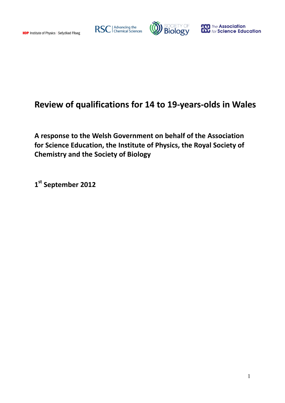





# **Review of qualifications for 14 to 19-years-olds in Wales**

**A response to the Welsh Government on behalf of the Association for Science Education, the Institute of Physics, the Royal Society of Chemistry and the Society of Biology**

**1 st September 2012**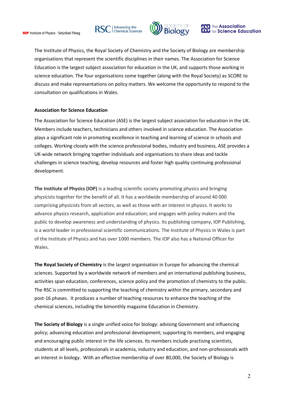





The Institute of Physics, the Royal Society of Chemistry and the Society of Biology are membership organisations that represent the scientific disciplines in their names. The Association for Science Education is the largest subject association for education in the UK, and supports those working in science education. The four organisations come together (along with the Royal Society) as SCORE to discuss and make representations on policy matters. We welcome the opportunity to respond to the consultation on qualifications in Wales.

#### **Association for Science Education**

The Association for Science Education (ASE) is the largest subject association for education in the UK. Members include teachers, technicians and others involved in science education. The Association plays a significant role in promoting excellence in teaching and learning of science in schools and colleges. Working closely with the science professional bodies, industry and business, ASE provides a UK-wide network bringing together individuals and organisations to share ideas and tackle challenges in science teaching, develop resources and foster high quality continuing professional development.

**The Institute of Physics (IOP)** is a leading scientific society promoting physics and bringing physicists together for the benefit of all. It has a worldwide membership of around 40 000 comprising physicists from all sectors, as well as those with an interest in physics. It works to advance physics research, application and education; and engages with policy makers and the public to develop awareness and understanding of physics. Its publishing company, IOP Publishing, is a world leader in professional scientific communications. The Institute of Physics in Wales is part of the Institute of Physics and has over 1000 members. The IOP also has a National Officer for Wales.

**The Royal Society of Chemistry** is the largest organisation in Europe for advancing the chemical sciences. Supported by a worldwide network of members and an international publishing business, activities span education, conferences, science policy and the promotion of chemistry to the public. The RSC is committed to supporting the teaching of chemistry within the primary, secondary and post-16 phases. It produces a number of teaching resources to enhance the teaching of the chemical sciences, including the bimonthly magazine Education in Chemistry.

**The Society of Biology** is a single unified voice for biology: advising Government and influencing policy; advancing education and professional development; supporting its members, and engaging and encouraging public interest in the life sciences. Its members include practising scientists, students at all levels, professionals in academia, industry and education, and non-professionals with an interest in biology. With an effective membership of over 80,000, the Society of Biology is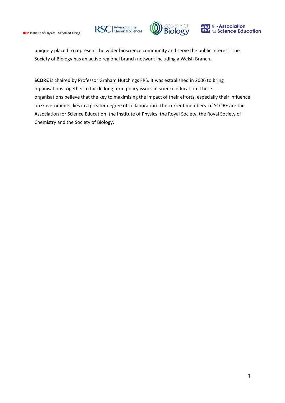





uniquely placed to represent the wider bioscience community and serve the public interest. The Society of Biology has an active regional branch network including a Welsh Branch.

**SCORE** is chaired by Professor Graham Hutchings FRS. It was established in 2006 to bring organisations together to tackle long term policy issues in science education. These organisations believe that the key to maximising the impact of their efforts, especially their influence on Governments, lies in a greater degree of collaboration. The current members of SCORE are the Association for Science Education, the Institute of Physics, the Royal Society, the Royal Society of Chemistry and the Society of Biology.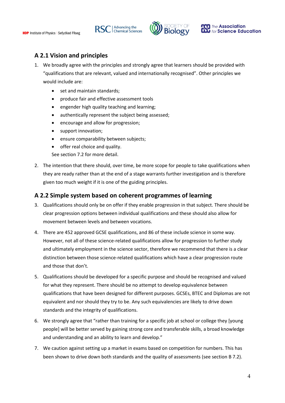



### **A 2.1 Vision and principles**

- 1. We broadly agree with the principles and strongly agree that learners should be provided with "qualifications that are relevant, valued and internationally recognised". Other principles we would include are:
	- set and maintain standards;
	- produce fair and effective assessment tools
	- engender high quality teaching and learning;
	- authentically represent the subject being assessed;
	- encourage and allow for progression;
	- support innovation;
	- ensure comparability between subjects;
	- offer real choice and quality.
	- See section 7.2 for more detail.
- 2. The intention that there should, over time, be more scope for people to take qualifications when they are ready rather than at the end of a stage warrants further investigation and is therefore given too much weight if it is one of the guiding principles.

#### **A 2.2 Simple system based on coherent programmes of learning**

- 3. Qualifications should only be on offer if they enable progression in that subject. There should be clear progression options between individual qualifications and these should also allow for movement between levels and between vocations.
- 4. There are 452 approved GCSE qualifications, and 86 of these include science in some way. However, not all of these science-related qualifications allow for progression to further study and ultimately employment in the science sector, therefore we recommend that there is a clear distinction between those science-related qualifications which have a clear progression route and those that don't.
- 5. Qualifications should be developed for a specific purpose and should be recognised and valued for what they represent. There should be no attempt to develop equivalence between qualifications that have been designed for different purposes. GCSEs, BTEC and Diplomas are not equivalent and nor should they try to be. Any such equivalencies are likely to drive down standards and the integrity of qualifications.
- 6. We strongly agree that "rather than training for a specific job at school or college they [young people] will be better served by gaining strong core and transferable skills, a broad knowledge and understanding and an ability to learn and develop."
- 7. We caution against setting up a market in exams based on competition for numbers. This has been shown to drive down both standards and the quality of assessments (see section B 7.2).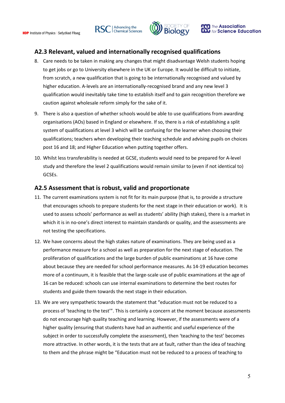





### **A2.3 Relevant, valued and internationally recognised qualifications**

- 8. Care needs to be taken in making any changes that might disadvantage Welsh students hoping to get jobs or go to University elsewhere in the UK or Europe. It would be difficult to initiate, from scratch, a new qualification that is going to be internationally recognised and valued by higher education. A-levels are an internationally-recognised brand and any new level 3 qualification would inevitably take time to establish itself and to gain recognition therefore we caution against wholesale reform simply for the sake of it.
- 9. There is also a question of whether schools would be able to use qualifications from awarding organisations (AOs) based in England or elsewhere. If so, there is a risk of establishing a split system of qualifications at level 3 which will be confusing for the learner when choosing their qualifications; teachers when developing their teaching schedule and advising pupils on choices post 16 and 18; and Higher Education when putting together offers.
- 10. Whilst less transferability is needed at GCSE, students would need to be prepared for A-level study and therefore the level 2 qualifications would remain similar to (even if not identical to) GCSEs.

### **A2.5 Assessment that is robust, valid and proportionate**

- 11. The current examinations system is not fit for its main purpose (that is, to provide a structure that encourages schools to prepare students for the next stage in their education or work). It is used to assess schools' performance as well as students' ability (high stakes), there is a market in which it is in no-one's direct interest to maintain standards or quality, and the assessments are not testing the specifications.
- 12. We have concerns about the high stakes nature of examinations. They are being used as a performance measure for a school as well as preparation for the next stage of education. The proliferation of qualifications and the large burden of public examinations at 16 have come about because they are needed for school performance measures. As 14-19 education becomes more of a continuum, it is feasible that the large-scale use of public examinations at the age of 16 can be reduced: schools can use internal examinations to determine the best routes for students and guide them towards the next stage in their education.
- 13. We are very sympathetic towards the statement that "education must not be reduced to a process of 'teaching to the test'". This is certainly a concern at the moment because assessments do not encourage high quality teaching and learning. However, if the assessments were of a higher quality (ensuring that students have had an authentic and useful experience of the subject in order to successfully complete the assessment), then 'teaching to the test' becomes more attractive. In other words, it is the tests that are at fault, rather than the idea of teaching to them and the phrase might be "Education must not be reduced to a process of teaching to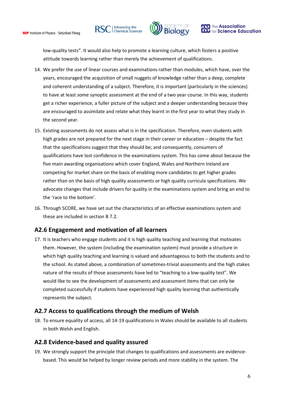





low-quality tests". It would also help to promote a learning culture, which fosters a positive attitude towards learning rather than merely the achievement of qualifications.

- 14. We prefer the use of linear courses and examinations rather than modules, which have, over the years, encouraged the acquisition of small nuggets of knowledge rather than a deep, complete and coherent understanding of a subject. Therefore, it is important (particularly in the sciences) to have at least some synoptic assessment at the end of a two year course. In this way, students get a richer experience, a fuller picture of the subject and a deeper understanding because they are encouraged to assimilate and relate what they learnt in the first year to what they study in the second year.
- 15. Existing assessments do not assess what is in the specification. Therefore, even students with high grades are not prepared for the next stage in their career or education – despite the fact that the specifications suggest that they should be; and consequently, consumers of qualifications have lost confidence in the examinations system. This has come about because the five main awarding organisations which cover England, Wales and Northern Ireland are competing for market share on the basis of enabling more candidates to get higher grades rather than on the basis of high quality assessments or high quality curricula specifications. We advocate changes that include drivers for quality in the examinations system and bring an end to the 'race to the bottom'.
- 16. Through SCORE, we have set out the characteristics of an effective examinations system and these are included in section B 7.2.

### **A2.6 Engagement and motivation of all learners**

17. It is teachers who engage students and it is high quality teaching and learning that motivates them. However, the system (including the examination system) must provide a structure in which high quality teaching and learning is valued and advantageous to both the students and to the school. As stated above, a combination of sometimes-trivial assessments and the high stakes nature of the results of those assessments have led to "teaching to a low-quality test". We would like to see the development of assessments and assessment items that can only be completed successfully if students have experienced high quality learning that authentically represents the subject.

### **A2.7 Access to qualifications through the medium of Welsh**

18. To ensure equality of access, all 14-19 qualifications in Wales should be available to all students in both Welsh and English.

### **A2.8 Evidence-based and quality assured**

19. We strongly support the principle that changes to qualifications and assessments are evidencebased. This would be helped by longer review periods and more stability in the system. The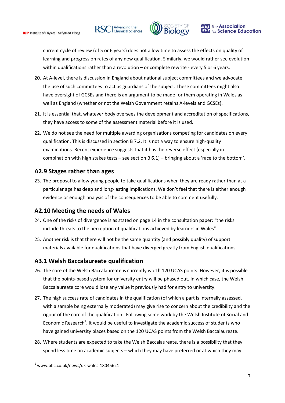RSC | Advancing the





current cycle of review (of 5 or 6 years) does not allow time to assess the effects on quality of learning and progression rates of any new qualification. Similarly, we would rather see evolution within qualifications rather than a revolution – or complete rewrite - every 5 or 6 years.

- 20. At A-level, there is discussion in England about national subject committees and we advocate the use of such committees to act as guardians of the subject. These committees might also have oversight of GCSEs and there is an argument to be made for them operating in Wales as well as England (whether or not the Welsh Government retains A-levels and GCSEs).
- 21. It is essential that, whatever body oversees the development and accreditation of specifications, they have access to some of the assessment material before it is used.
- 22. We do not see the need for multiple awarding organisations competing for candidates on every qualification. This is discussed in section B 7.2. It is not a way to ensure high-quality examinations. Recent experience suggests that it has the reverse effect (especially in combination with high stakes tests – see section B 6.1) – bringing about a 'race to the bottom'.

### **A2.9 Stages rather than ages**

23. The proposal to allow young people to take qualifications when they are ready rather than at a particular age has deep and long-lasting implications. We don't feel that there is either enough evidence or enough analysis of the consequences to be able to comment usefully.

### **A2.10 Meeting the needs of Wales**

- 24. One of the risks of divergence is as stated on page 14 in the consultation paper: "the risks include threats to the perception of qualifications achieved by learners in Wales".
- 25. Another risk is that there will not be the same quantity (and possibly quality) of support materials available for qualifications that have diverged greatly from English qualifications.

### **A3.1 Welsh Baccalaureate qualification**

- 26. The core of the Welsh Baccalaureate is currently worth 120 UCAS points. However, it is possible that the points-based system for university entry will be phased out. In which case, the Welsh Baccalaureate core would lose any value it previously had for entry to university.
- 27. The high success rate of candidates in the qualification (of which a part is internally assessed, with a sample being externally moderated) may give rise to concern about the credibility and the rigour of the core of the qualification. Following some work by the Welsh Institute of Social and Economic Research<sup>1</sup>, it would be useful to investigate the academic success of students who have gained university places based on the 120 UCAS points from the Welsh Baccalaureate.
- 28. Where students are expected to take the Welsh Baccalaureate, there is a possibility that they spend less time on academic subjects – which they may have preferred or at which they may

1

 $1$  www.bbc.co.uk/news/uk-wales-18045621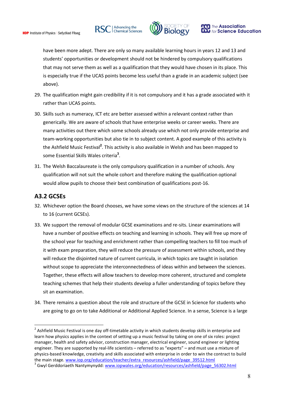





have been more adept. There are only so many available learning hours in years 12 and 13 and students' opportunities or development should not be hindered by compulsory qualifications that may not serve them as well as a qualification that they would have chosen in its place. This is especially true if the UCAS points become less useful than a grade in an academic subject (see above).

- 29. The qualification might gain credibility if it is not compulsory and it has a grade associated with it rather than UCAS points.
- 30. Skills such as numeracy, ICT etc are better assessed within a relevant context rather than generically. We are aware of schools that have enterprise weeks or career weeks. There are many activities out there which some schools already use which not only provide enterprise and team-working opportunities but also tie in to subject content. A good example of this activity is the Ashfield Music Festival<sup>2</sup>. This activity is also available in Welsh and has been mapped to some Essential Skills Wales criteria**<sup>3</sup>** .
- 31. The Welsh Baccalaureate is the only compulsory qualification in a number of schools. Any qualification will not suit the whole cohort and therefore making the qualification optional would allow pupils to choose their best combination of qualifications post-16.

### **A3.2 GCSEs**

1

- 32. Whichever option the Board chooses, we have some views on the structure of the sciences at 14 to 16 (current GCSEs).
- 33. We support the removal of modular GCSE examinations and re-sits. Linear examinations will have a number of positive effects on teaching and learning in schools. They will free up more of the school year for teaching and enrichment rather than compelling teachers to fill too much of it with exam preparation, they will reduce the pressure of assessment within schools, and they will reduce the disjointed nature of current curricula, in which topics are taught in isolation without scope to appreciate the interconnectedness of ideas within and between the sciences. Together, these effects will allow teachers to develop more coherent, structured and complete teaching schemes that help their students develop a fuller understanding of topics before they sit an examination.
- 34. There remains a question about the role and structure of the GCSE in Science for students who are going to go on to take Additional or Additional Applied Science. In a sense, Science is a large

<sup>&</sup>lt;sup>2</sup> Ashfield Music Festival is one day off-timetable activity in which students develop skills in enterprise and learn how physics applies in the context of setting up a music festival by taking on one of six roles: project manager, health and safety advisor, construction manager, electrical engineer, sound engineer or lighting engineer. They are supported by real-life scientists – referred to as "experts" – and must use a mixture of physics-based knowledge, creativity and skills associated with enterprise in order to win the contract to build the main stage. [www.iop.org/education/teacher/extra\\_resources/ashfield/page\\_39512.html](http://www.iop.org/education/teacher/extra_resources/ashfield/page_39512.html)

<sup>&</sup>lt;sup>3</sup> Gwyl Gerddoriaeth Nantymynydd: [www.iopwales.org/education/resources/ashfield/page\\_56302.html](http://www.iopwales.org/education/resources/ashfield/page_56302.html)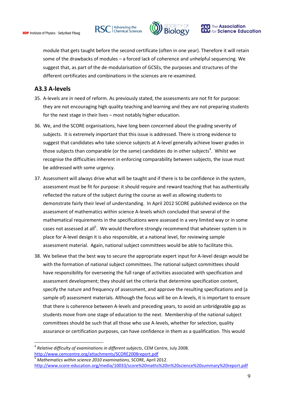RSC | Advancing the





module that gets taught before the second certificate (often in one year). Therefore it will retain some of the drawbacks of modules – a forced lack of coherence and unhelpful sequencing. We suggest that, as part of the de-modularisation of GCSEs, the purposes and structures of the different certificates and combinations in the sciences are re-examined.

#### **A3.3 A-levels**

<u>.</u>

- 35. A-levels are in need of reform. As previously stated, the assessments are not fit for purpose: they are not encouraging high quality teaching and learning and they are not preparing students for the next stage in their lives – most notably higher education.
- 36. We, and the SCORE organisations, have long been concerned about the grading severity of subjects. It is extremely important that this issue is addressed. There is strong evidence to suggest that candidates who take science subjects at A-level generally achieve lower grades in those subjects than comparable (or the same) candidates do in other subjects<sup>4</sup>. Whilst we recognise the difficulties inherent in enforcing comparability between subjects, the issue must be addressed with some urgency.
- 37. Assessment will always drive what will be taught and if there is to be confidence in the system, assessment must be fit for purpose: it should require and reward teaching that has authentically reflected the nature of the subject during the course as well as allowing students to demonstrate fairly their level of understanding. In April 2012 SCORE published evidence on the assessment of mathematics within science A-levels which concluded that several of the mathematical requirements in the specifications were assessed in a very limited way or in some cases not assessed at all<sup>5</sup>. We would therefore strongly recommend that whatever system is in place for A-level design it is also responsible, at a national level, for reviewing sample assessment material. Again, national subject committees would be able to facilitate this.
- 38. We believe that the best way to secure the appropriate expert input for A-level design would be with the formation of national subject committees. The national subject committees should have responsibility for overseeing the full range of activities associated with specification and assessment development; they should set the criteria that determine specification content, specify the nature and frequency of assessment, and approve the resulting specifications and (a sample of) assessment materials. Although the focus will be on A-levels, it is important to ensure that there is coherence between A-levels and preceding years, to avoid an unbridgeable gap as students move from one stage of education to the next. Membership of the national subject committees should be such that all those who use A-levels, whether for selection, quality assurance or certification purposes, can have confidence in them as a qualification. This would

<sup>4</sup> *Relative difficulty of examinations in different subjects*, CEM Centre, July 2008. <http://www.cemcentre.org/attachments/SCORE2008report.pdf>

<sup>5</sup> *Mathematics within science 2010 examinations*, SCORE, April 2012. <http://www.score-education.org/media/10033/score%20maths%20in%20science%20summary%20report.pdf>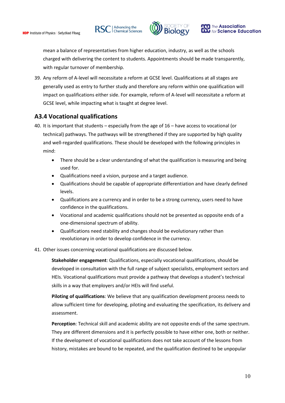RSC | Advancing the





mean a balance of representatives from higher education, industry, as well as the schools charged with delivering the content to students. Appointments should be made transparently, with regular turnover of membership.

39. Any reform of A-level will necessitate a reform at GCSE level. Qualifications at all stages are generally used as entry to further study and therefore any reform within one qualification will impact on qualifications either side. For example, reform of A-level will necessitate a reform at GCSE level, while impacting what is taught at degree level.

### **A3.4 Vocational qualifications**

- 40. It is important that students especially from the age of 16 have access to vocational (or technical) pathways. The pathways will be strengthened if they are supported by high quality and well-regarded qualifications. These should be developed with the following principles in mind:
	- There should be a clear understanding of what the qualification is measuring and being used for.
	- Qualifications need a vision, purpose and a target audience.
	- Qualifications should be capable of appropriate differentiation and have clearly defined levels.
	- Qualifications are a currency and in order to be a strong currency, users need to have confidence in the qualifications.
	- Vocational and academic qualifications should not be presented as opposite ends of a one-dimensional spectrum of ability.
	- Qualifications need stability and changes should be evolutionary rather than revolutionary in order to develop confidence in the currency.
- 41. Other issues concerning vocational qualifications are discussed below.

**Stakeholder engagement**: Qualifications, especially vocational qualifications, should be developed in consultation with the full range of subject specialists, employment sectors and HEIs. Vocational qualifications must provide a pathway that develops a student's technical skills in a way that employers and/or HEIs will find useful.

**Piloting of qualifications**: We believe that any qualification development process needs to allow sufficient time for developing, piloting and evaluating the specification, its delivery and assessment.

**Perception**: Technical skill and academic ability are not opposite ends of the same spectrum. They are different dimensions and it is perfectly possible to have either one, both or neither. If the development of vocational qualifications does not take account of the lessons from history, mistakes are bound to be repeated, and the qualification destined to be unpopular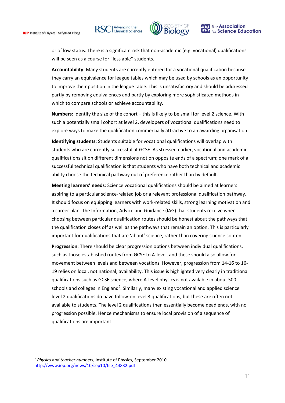





or of low status. There is a significant risk that non-academic (e.g. vocational) qualifications will be seen as a course for "less able" students.

**Accountability**: Many students are currently entered for a vocational qualification because they carry an equivalence for league tables which may be used by schools as an opportunity to improve their position in the league table. This is unsatisfactory and should be addressed partly by removing equivalences and partly by exploring more sophisticated methods in which to compare schools or achieve accountability.

**Numbers**: Identify the size of the cohort – this is likely to be small for level 2 science. With such a potentially small cohort at level 2, developers of vocational qualifications need to explore ways to make the qualification commercially attractive to an awarding organisation.

**Identifying students**: Students suitable for vocational qualifications will overlap with students who are currently successful at GCSE. As stressed earlier, vocational and academic qualifications sit on different dimensions not on opposite ends of a spectrum; one mark of a successful technical qualification is that students who have both technical and academic ability choose the technical pathway out of preference rather than by default.

**Meeting learners' needs**: Science vocational qualifications should be aimed at learners aspiring to a particular science-related job or a relevant professional qualification pathway. It should focus on equipping learners with work-related skills, strong learning motivation and a career plan. The Information, Advice and Guidance (IAG) that students receive when choosing between particular qualification routes should be honest about the pathways that the qualification closes off as well as the pathways that remain an option. This is particularly important for qualifications that are 'about' science, rather than covering science content.

**Progression**: There should be clear progression options between individual qualifications, such as those established routes from GCSE to A-level, and these should also allow for movement between levels and between vocations. However, progression from 14-16 to 16- 19 relies on local, not national, availability. This issue is highlighted very clearly in traditional qualifications such as GCSE science, where A-level physics is not available in about 500 schools and colleges in England<sup>6</sup>. Similarly, many existing vocational and applied science level 2 qualifications do have follow-on level 3 qualifications, but these are often not available to students. The level 2 qualifications then essentially become dead ends, with no progression possible. Hence mechanisms to ensure local provision of a sequence of qualifications are important.

<u>.</u>

<sup>6</sup> *Physics and teacher numbers*, Institute of Physics, September 2010. [http://www.iop.org/news/10/sep10/file\\_44832.pdf](http://www.iop.org/news/10/sep10/file_44832.pdf)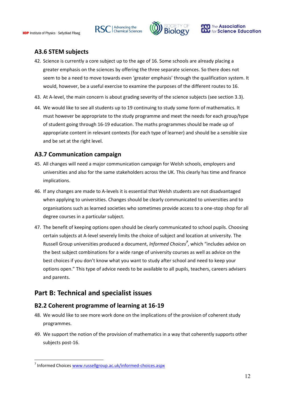



### **A3.6 STEM subjects**

- 42. Science is currently a core subject up to the age of 16. Some schools are already placing a greater emphasis on the sciences by offering the three separate sciences. So there does not seem to be a need to move towards even 'greater emphasis' through the qualification system. It would, however, be a useful exercise to examine the purposes of the different routes to 16.
- 43. At A-level, the main concern is about grading severity of the science subjects (see section 3.3).
- 44. We would like to see all students up to 19 continuing to study some form of mathematics. It must however be appropriate to the study programme and meet the needs for each group/type of student going through 16-19 education. The maths programmes should be made up of appropriate content in relevant contexts (for each type of learner) and should be a sensible size and be set at the right level.

### **A3.7 Communication campaign**

- 45. All changes will need a major communication campaign for Welsh schools, employers and universities and also for the same stakeholders across the UK. This clearly has time and finance implications.
- 46. If any changes are made to A-levels it is essential that Welsh students are not disadvantaged when applying to universities. Changes should be clearly communicated to universities and to organisations such as learned societies who sometimes provide access to a one-stop shop for all degree courses in a particular subject.
- 47. The benefit of keeping options open should be clearly communicated to school pupils. Choosing certain subjects at A-level severely limits the choice of subject and location at university. The Russell Group universities produced a document, *Informed Choices<sup>7</sup>* , which "includes advice on the best subject combinations for a wide range of university courses as well as advice on the best choices if you don't know what you want to study after school and need to keep your options open." This type of advice needs to be available to all pupils, teachers, careers advisers and parents.

## **Part B: Technical and specialist issues**

### **B2.2 Coherent programme of learning at 16-19**

- 48. We would like to see more work done on the implications of the provision of coherent study programmes.
- 49. We support the notion of the provision of mathematics in a way that coherently supports other subjects post-16.

1

<sup>&</sup>lt;sup>7</sup> Informed Choices [www.russellgroup.ac.uk/informed-choices.aspx](http://www.russellgroup.ac.uk/informed-choices.aspx)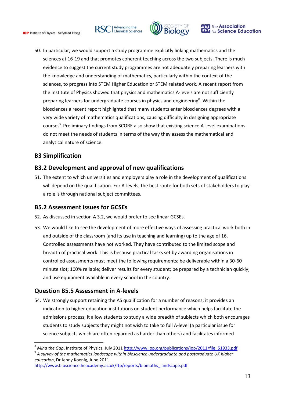





50. In particular, we would support a study programme explicitly linking mathematics and the sciences at 16-19 and that promotes coherent teaching across the two subjects. There is much evidence to suggest the current study programmes are not adequately preparing learners with the knowledge and understanding of mathematics, particularly within the context of the sciences, to progress into STEM Higher Education or STEM related work. A recent report from the Institute of Physics showed that physics and mathematics A-levels are not sufficiently preparing learners for undergraduate courses in physics and engineering<sup>8</sup>. Within the biosciences a recent report highlighted that many students enter biosciences degrees with a very wide variety of mathematics qualifications, causing difficulty in designing appropriate courses<sup>9</sup>. Preliminary findings from SCORE also show that existing science A-level examinations do not meet the needs of students in terms of the way they assess the mathematical and analytical nature of science.

### **B3 Simplification**

<u>.</u>

### **B3.2 Development and approval of new qualifications**

51. The extent to which universities and employers play a role in the development of qualifications will depend on the qualification. For A-levels, the best route for both sets of stakeholders to play a role is through national subject committees.

### **B5.2 Assessment issues for GCSEs**

- 52. As discussed in section A 3.2, we would prefer to see linear GCSEs.
- 53. We would like to see the development of more effective ways of assessing practical work both in and outside of the classroom (and its use in teaching and learning) up to the age of 16. Controlled assessments have not worked. They have contributed to the limited scope and breadth of practical work. This is because practical tasks set by awarding organisations in controlled assessments must meet the following requirements; be deliverable within a 30-60 minute slot; 100% reliable; deliver results for every student; be prepared by a technician quickly; and use equipment available in every school in the country.

### **Question B5.5 Assessment in A-levels**

54. We strongly support retaining the AS qualification for a number of reasons; it provides an indication to higher education institutions on student performance which helps facilitate the admissions process; it allow students to study a wide breadth of subjects which both encourages students to study subjects they might not wish to take to full A-level (a particular issue for science subjects which are often regarded as harder than others) and facilitates informed

[http://www.bioscience.heacademy.ac.uk/ftp/reports/biomaths\\_landscape.pdf](http://www.bioscience.heacademy.ac.uk/ftp/reports/biomaths_landscape.pdf)

Mind the Gap, Institute of Physics, July 2011 [http://www.iop.org/publications/iop/2011/file\\_51933.pdf](http://www.iop.org/publications/iop/2011/file_51933.pdf) 9 *A survey of the mathematics landscape within bioscience undergraduate and postgraduate UK higher education*, Dr Jenny Koenig, June 2011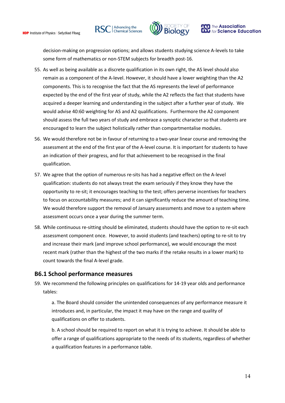





decision-making on progression options; and allows students studying science A-levels to take some form of mathematics or non-STEM subjects for breadth post-16.

- 55. As well as being available as a discrete qualification in its own right, the AS level should also remain as a component of the A-level. However, it should have a lower weighting than the A2 components. This is to recognise the fact that the AS represents the level of performance expected by the end of the first year of study, while the A2 reflects the fact that students have acquired a deeper learning and understanding in the subject after a further year of study. We would advise 40:60 weighting for AS and A2 qualifications. Furthermore the A2 component should assess the full two years of study and embrace a synoptic character so that students are encouraged to learn the subject holistically rather than compartmentalise modules.
- 56. We would therefore not be in favour of returning to a two-year linear course and removing the assessment at the end of the first year of the A-level course. It is important for students to have an indication of their progress, and for that achievement to be recognised in the final qualification.
- 57. We agree that the option of numerous re-sits has had a negative effect on the A-level qualification: students do not always treat the exam seriously if they know they have the opportunity to re-sit; it encourages teaching to the test; offers perverse incentives for teachers to focus on accountability measures; and it can significantly reduce the amount of teaching time. We would therefore support the removal of January assessments and move to a system where assessment occurs once a year during the summer term.
- 58. While continuous re-sitting should be eliminated, students should have the option to re-sit each assessment component once. However, to avoid students (and teachers) opting to re-sit to try and increase their mark (and improve school performance), we would encourage the most recent mark (rather than the highest of the two marks if the retake results in a lower mark) to count towards the final A-level grade.

#### **B6.1 School performance measures**

59. We recommend the following principles on qualifications for 14-19 year olds and performance tables:

a. The Board should consider the unintended consequences of any performance measure it introduces and, in particular, the impact it may have on the range and quality of qualifications on offer to students.

b. A school should be required to report on what it is trying to achieve. It should be able to offer a range of qualifications appropriate to the needs of its students, regardless of whether a qualification features in a performance table.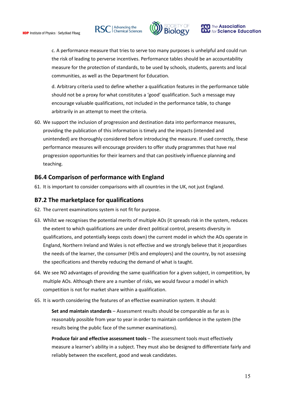





c. A performance measure that tries to serve too many purposes is unhelpful and could run the risk of leading to perverse incentives. Performance tables should be an accountability measure for the protection of standards, to be used by schools, students, parents and local communities, as well as the Department for Education.

d. Arbitrary criteria used to define whether a qualification features in the performance table should not be a proxy for what constitutes a 'good' qualification. Such a message may encourage valuable qualifications, not included in the performance table, to change arbitrarily in an attempt to meet the criteria.

60. We support the inclusion of progression and destination data into performance measures, providing the publication of this information is timely and the impacts (intended and unintended) are thoroughly considered before introducing the measure. If used correctly, these performance measures will encourage providers to offer study programmes that have real progression opportunities for their learners and that can positively influence planning and teaching.

### **B6.4 Comparison of performance with England**

61. It is important to consider comparisons with all countries in the UK, not just England.

### **B7.2 The marketplace for qualifications**

- 62. The current examinations system is not fit for purpose.
- 63. Whilst we recognises the potential merits of multiple AOs (it spreads risk in the system, reduces the extent to which qualifications are under direct political control, presents diversity in qualifications, and potentially keeps costs down) the current model in which the AOs operate in England, Northern Ireland and Wales is not effective and we strongly believe that it jeopardises the needs of the learner, the consumer (HEIs and employers) and the country, by not assessing the specifications and thereby reducing the demand of what is taught.
- 64. We see NO advantages of providing the same qualification for a given subject, in competition, by multiple AOs. Although there are a number of risks, we would favour a model in which competition is not for market share within a qualification.
- 65. It is worth considering the features of an effective examination system. It should:

**Set and maintain standards** – Assessment results should be comparable as far as is reasonably possible from year to year in order to maintain confidence in the system (the results being the public face of the summer examinations).

**Produce fair and effective assessment tools** – The assessment tools must effectively measure a learner's ability in a subject. They must also be designed to differentiate fairly and reliably between the excellent, good and weak candidates.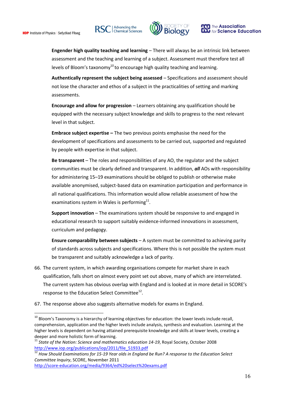<u>.</u>







**Engender high quality teaching and learning** – There will always be an intrinsic link between assessment and the teaching and learning of a subject. Assessment must therefore test all levels of Bloom's taxonomy<sup>10</sup> to encourage high quality teaching and learning.

**Authentically represent the subject being assessed** – Specifications and assessment should not lose the character and ethos of a subject in the practicalities of setting and marking assessments.

**Encourage and allow for progression – Learners obtaining any qualification should be** equipped with the necessary subject knowledge and skills to progress to the next relevant level in that subject.

**Embrace subject expertise –** The two previous points emphasise the need for the development of specifications and assessments to be carried out, supported and regulated by people with expertise in that subject.

**Be transparent** – The roles and responsibilities of any AO, the regulator and the subject communities must be clearly defined and transparent. In addition, *all* AOs with responsibility for administering 15–19 examinations should be obliged to publish or otherwise make available anonymised, subject-based data on examination participation and performance in all national qualifications. This information would allow reliable assessment of how the examinations system in Wales is performing $^{11}$ .

**Support innovation** – The examinations system should be responsive to and engaged in educational research to support suitably evidence-informed innovations in assessment, curriculum and pedagogy.

**Ensure comparability between subjects** – A system must be committed to achieving parity of standards across subjects and specifications. Where this is not possible the system must be transparent and suitably acknowledge a lack of parity.

- 66. The current system, in which awarding organisations compete for market share in each qualification, falls short on almost every point set out above, many of which are interrelated. The current system has obvious overlap with England and is looked at in more detail in SCORE's response to the Education Select Committee<sup>12</sup>.
- 67. The response above also suggests alternative models for exams in England.

 $10$  Bloom's Taxonomy is a hierarchy of learning objectives for education: the lower levels include recall, comprehension, application and the higher levels include analysis, synthesis and evaluation. Learning at the higher levels is dependent on having attained prerequisite knowledge and skills at lower levels, creating a deeper and more holistic form of learning.

<sup>11</sup> *State of the Nation: Science and mathematics education 14-19*, Royal Society, October 2008 [http://www.iop.org/publications/iop/2011/file\\_51933.pdf](http://www.iop.org/publications/iop/2011/file_51933.pdf)

<sup>12</sup> *How Should Examinations for 15-19 Year olds in England be Run? A response to the Education Select Committee Inquiry*, SCORE, November 2011

<http://score-education.org/media/9364/ed%20select%20exams.pdf>